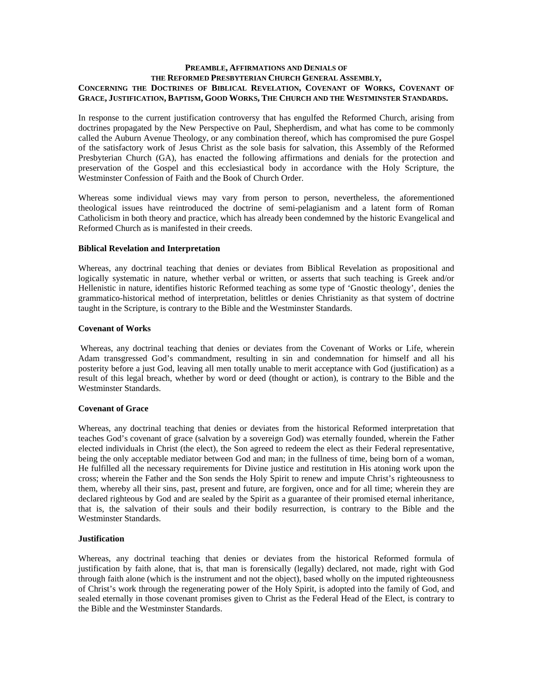## **PREAMBLE, AFFIRMATIONS AND DENIALS OF THE REFORMED PRESBYTERIAN CHURCH GENERAL ASSEMBLY, CONCERNING THE DOCTRINES OF BIBLICAL REVELATION, COVENANT OF WORKS, COVENANT OF GRACE, JUSTIFICATION, BAPTISM, GOOD WORKS, THE CHURCH AND THE WESTMINSTER STANDARDS.**

In response to the current justification controversy that has engulfed the Reformed Church, arising from doctrines propagated by the New Perspective on Paul, Shepherdism, and what has come to be commonly called the Auburn Avenue Theology, or any combination thereof, which has compromised the pure Gospel of the satisfactory work of Jesus Christ as the sole basis for salvation, this Assembly of the Reformed Presbyterian Church (GA), has enacted the following affirmations and denials for the protection and preservation of the Gospel and this ecclesiastical body in accordance with the Holy Scripture, the Westminster Confession of Faith and the Book of Church Order.

Whereas some individual views may vary from person to person, nevertheless, the aforementioned theological issues have reintroduced the doctrine of semi-pelagianism and a latent form of Roman Catholicism in both theory and practice, which has already been condemned by the historic Evangelical and Reformed Church as is manifested in their creeds.

## **Biblical Revelation and Interpretation**

Whereas, any doctrinal teaching that denies or deviates from Biblical Revelation as propositional and logically systematic in nature, whether verbal or written, or asserts that such teaching is Greek and/or Hellenistic in nature, identifies historic Reformed teaching as some type of 'Gnostic theology', denies the grammatico-historical method of interpretation, belittles or denies Christianity as that system of doctrine taught in the Scripture, is contrary to the Bible and the Westminster Standards.

## **Covenant of Works**

 Whereas, any doctrinal teaching that denies or deviates from the Covenant of Works or Life, wherein Adam transgressed God's commandment, resulting in sin and condemnation for himself and all his posterity before a just God, leaving all men totally unable to merit acceptance with God (justification) as a result of this legal breach, whether by word or deed (thought or action), is contrary to the Bible and the Westminster Standards.

## **Covenant of Grace**

Whereas, any doctrinal teaching that denies or deviates from the historical Reformed interpretation that teaches God's covenant of grace (salvation by a sovereign God) was eternally founded, wherein the Father elected individuals in Christ (the elect), the Son agreed to redeem the elect as their Federal representative, being the only acceptable mediator between God and man; in the fullness of time, being born of a woman, He fulfilled all the necessary requirements for Divine justice and restitution in His atoning work upon the cross; wherein the Father and the Son sends the Holy Spirit to renew and impute Christ's righteousness to them, whereby all their sins, past, present and future, are forgiven, once and for all time; wherein they are declared righteous by God and are sealed by the Spirit as a guarantee of their promised eternal inheritance, that is, the salvation of their souls and their bodily resurrection, is contrary to the Bible and the Westminster Standards.

## **Justification**

Whereas, any doctrinal teaching that denies or deviates from the historical Reformed formula of justification by faith alone, that is, that man is forensically (legally) declared, not made, right with God through faith alone (which is the instrument and not the object), based wholly on the imputed righteousness of Christ's work through the regenerating power of the Holy Spirit, is adopted into the family of God, and sealed eternally in those covenant promises given to Christ as the Federal Head of the Elect, is contrary to the Bible and the Westminster Standards.